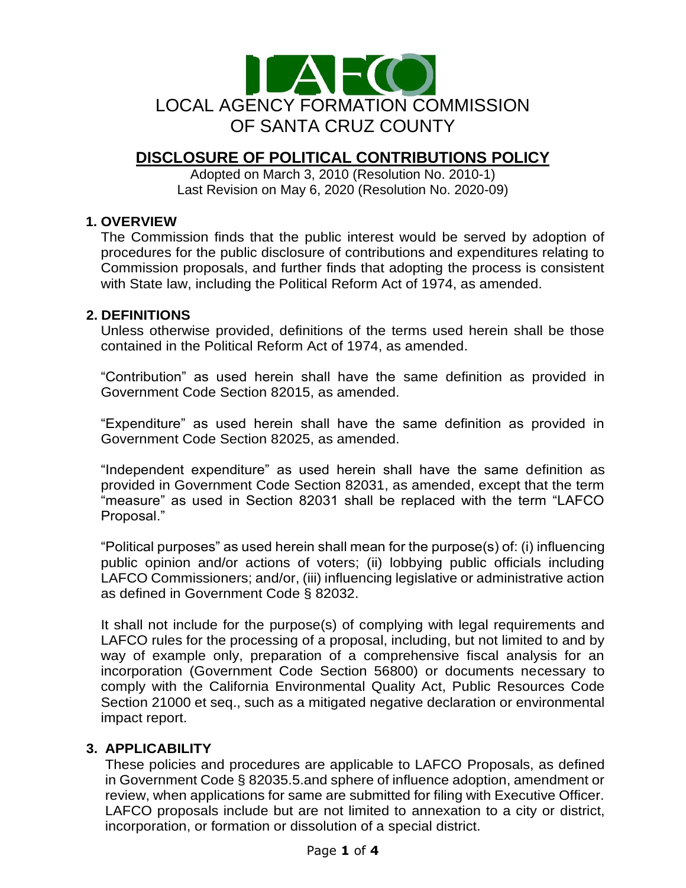

# **DISCLOSURE OF POLITICAL CONTRIBUTIONS POLICY**

Adopted on March 3, 2010 (Resolution No. 2010-1) Last Revision on May 6, 2020 (Resolution No. 2020-09)

## **1. OVERVIEW**

The Commission finds that the public interest would be served by adoption of procedures for the public disclosure of contributions and expenditures relating to Commission proposals, and further finds that adopting the process is consistent with State law, including the Political Reform Act of 1974, as amended.

## **2. DEFINITIONS**

Unless otherwise provided, definitions of the terms used herein shall be those contained in the Political Reform Act of 1974, as amended.

"Contribution" as used herein shall have the same definition as provided in Government Code Section 82015, as amended.

"Expenditure" as used herein shall have the same definition as provided in Government Code Section 82025, as amended.

"Independent expenditure" as used herein shall have the same definition as provided in Government Code Section 82031, as amended, except that the term "measure" as used in Section 82031 shall be replaced with the term "LAFCO Proposal."

"Political purposes" as used herein shall mean for the purpose(s) of: (i) influencing public opinion and/or actions of voters; (ii) lobbying public officials including LAFCO Commissioners; and/or, (iii) influencing legislative or administrative action as defined in Government Code § 82032.

It shall not include for the purpose(s) of complying with legal requirements and LAFCO rules for the processing of a proposal, including, but not limited to and by way of example only, preparation of a comprehensive fiscal analysis for an incorporation (Government Code Section 56800) or documents necessary to comply with the California Environmental Quality Act, Public Resources Code Section 21000 et seq., such as a mitigated negative declaration or environmental impact report.

## **3. APPLICABILITY**

These policies and procedures are applicable to LAFCO Proposals, as defined in Government Code § 82035.5.and sphere of influence adoption, amendment or review, when applications for same are submitted for filing with Executive Officer. LAFCO proposals include but are not limited to annexation to a city or district, incorporation, or formation or dissolution of a special district.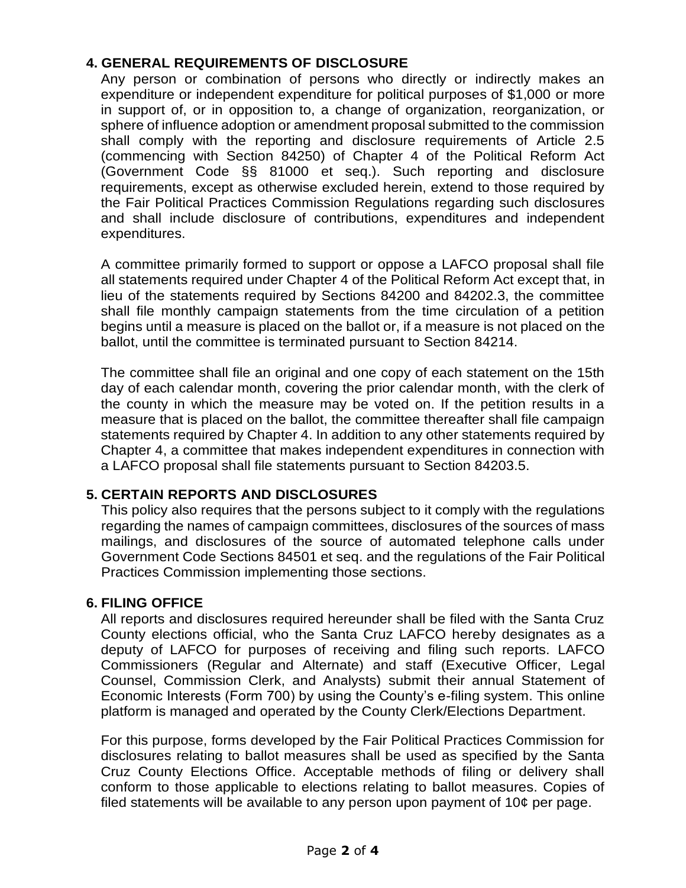## **4. GENERAL REQUIREMENTS OF DISCLOSURE**

Any person or combination of persons who directly or indirectly makes an expenditure or independent expenditure for political purposes of \$1,000 or more in support of, or in opposition to, a change of organization, reorganization, or sphere of influence adoption or amendment proposal submitted to the commission shall comply with the reporting and disclosure requirements of Article 2.5 (commencing with Section 84250) of Chapter 4 of the Political Reform Act (Government Code §§ 81000 et seq.). Such reporting and disclosure requirements, except as otherwise excluded herein, extend to those required by the Fair Political Practices Commission Regulations regarding such disclosures and shall include disclosure of contributions, expenditures and independent expenditures.

A committee primarily formed to support or oppose a LAFCO proposal shall file all statements required under Chapter 4 of the Political Reform Act except that, in lieu of the statements required by Sections 84200 and 84202.3, the committee shall file monthly campaign statements from the time circulation of a petition begins until a measure is placed on the ballot or, if a measure is not placed on the ballot, until the committee is terminated pursuant to Section 84214.

The committee shall file an original and one copy of each statement on the 15th day of each calendar month, covering the prior calendar month, with the clerk of the county in which the measure may be voted on. If the petition results in a measure that is placed on the ballot, the committee thereafter shall file campaign statements required by Chapter 4. In addition to any other statements required by Chapter 4, a committee that makes independent expenditures in connection with a LAFCO proposal shall file statements pursuant to Section 84203.5.

## **5. CERTAIN REPORTS AND DISCLOSURES**

This policy also requires that the persons subject to it comply with the regulations regarding the names of campaign committees, disclosures of the sources of mass mailings, and disclosures of the source of automated telephone calls under Government Code Sections 84501 et seq. and the regulations of the Fair Political Practices Commission implementing those sections.

#### **6. FILING OFFICE**

All reports and disclosures required hereunder shall be filed with the Santa Cruz County elections official, who the Santa Cruz LAFCO hereby designates as a deputy of LAFCO for purposes of receiving and filing such reports. LAFCO Commissioners (Regular and Alternate) and staff (Executive Officer, Legal Counsel, Commission Clerk, and Analysts) submit their annual Statement of Economic Interests (Form 700) by using the County's e-filing system. This online platform is managed and operated by the County Clerk/Elections Department.

For this purpose, forms developed by the Fair Political Practices Commission for disclosures relating to ballot measures shall be used as specified by the Santa Cruz County Elections Office. Acceptable methods of filing or delivery shall conform to those applicable to elections relating to ballot measures. Copies of filed statements will be available to any person upon payment of 10¢ per page.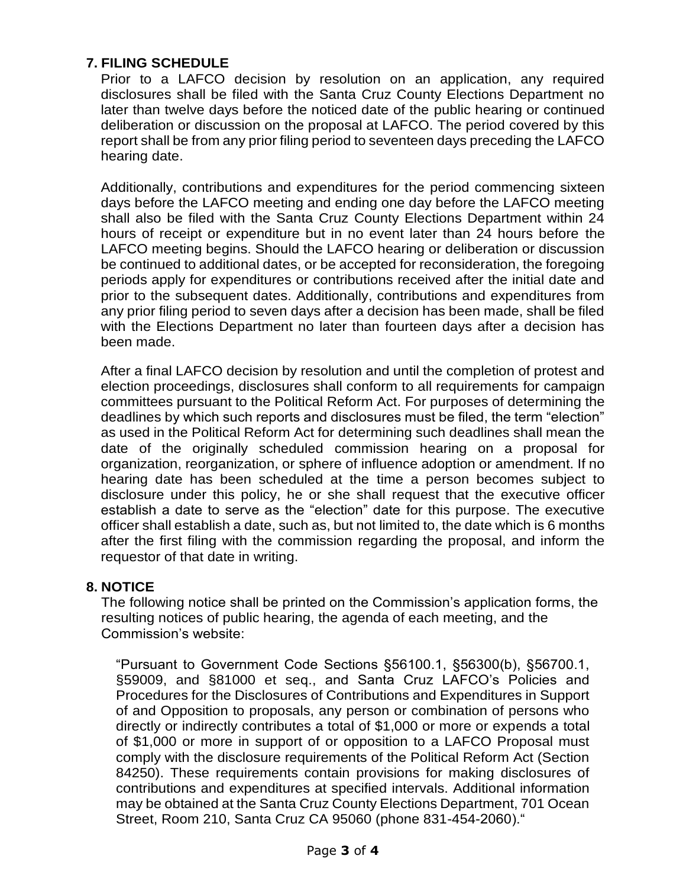## **7. FILING SCHEDULE**

Prior to a LAFCO decision by resolution on an application, any required disclosures shall be filed with the Santa Cruz County Elections Department no later than twelve days before the noticed date of the public hearing or continued deliberation or discussion on the proposal at LAFCO. The period covered by this report shall be from any prior filing period to seventeen days preceding the LAFCO hearing date.

Additionally, contributions and expenditures for the period commencing sixteen days before the LAFCO meeting and ending one day before the LAFCO meeting shall also be filed with the Santa Cruz County Elections Department within 24 hours of receipt or expenditure but in no event later than 24 hours before the LAFCO meeting begins. Should the LAFCO hearing or deliberation or discussion be continued to additional dates, or be accepted for reconsideration, the foregoing periods apply for expenditures or contributions received after the initial date and prior to the subsequent dates. Additionally, contributions and expenditures from any prior filing period to seven days after a decision has been made, shall be filed with the Elections Department no later than fourteen days after a decision has been made.

After a final LAFCO decision by resolution and until the completion of protest and election proceedings, disclosures shall conform to all requirements for campaign committees pursuant to the Political Reform Act. For purposes of determining the deadlines by which such reports and disclosures must be filed, the term "election" as used in the Political Reform Act for determining such deadlines shall mean the date of the originally scheduled commission hearing on a proposal for organization, reorganization, or sphere of influence adoption or amendment. If no hearing date has been scheduled at the time a person becomes subject to disclosure under this policy, he or she shall request that the executive officer establish a date to serve as the "election" date for this purpose. The executive officer shall establish a date, such as, but not limited to, the date which is 6 months after the first filing with the commission regarding the proposal, and inform the requestor of that date in writing.

## **8. NOTICE**

The following notice shall be printed on the Commission's application forms, the resulting notices of public hearing, the agenda of each meeting, and the Commission's website:

"Pursuant to Government Code Sections §56100.1, §56300(b), §56700.1, §59009, and §81000 et seq., and Santa Cruz LAFCO's Policies and Procedures for the Disclosures of Contributions and Expenditures in Support of and Opposition to proposals, any person or combination of persons who directly or indirectly contributes a total of \$1,000 or more or expends a total of \$1,000 or more in support of or opposition to a LAFCO Proposal must comply with the disclosure requirements of the Political Reform Act (Section 84250). These requirements contain provisions for making disclosures of contributions and expenditures at specified intervals. Additional information may be obtained at the Santa Cruz County Elections Department, 701 Ocean Street, Room 210, Santa Cruz CA 95060 (phone 831-454-2060)."